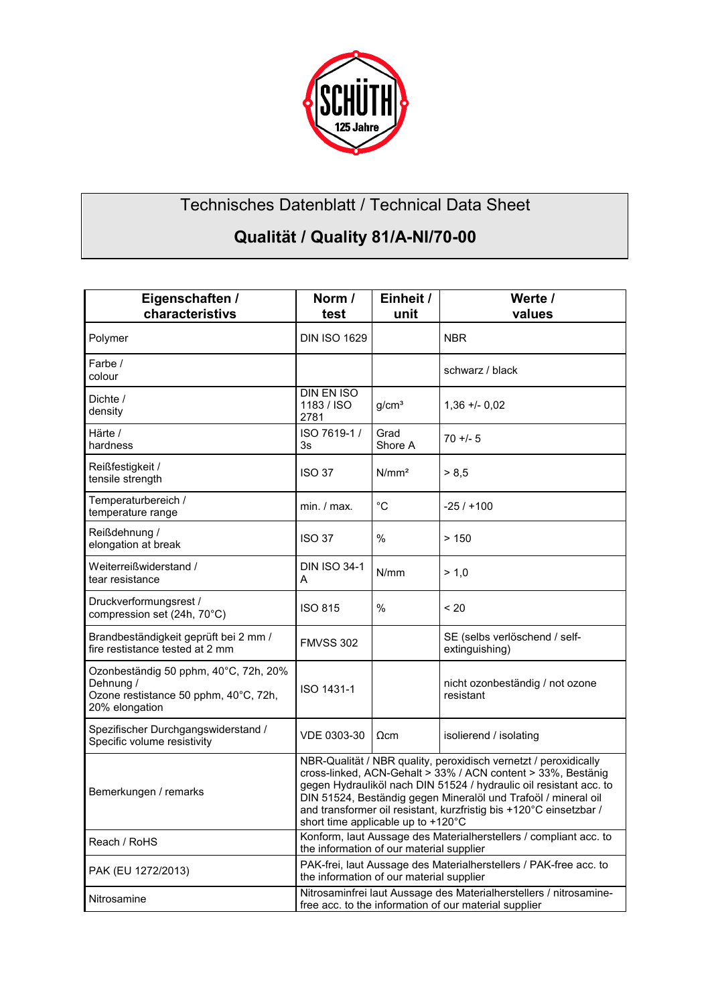

## Technisches Datenblatt / Technical Data Sheet

## **Qualität / Quality 81/A-NI/70-00**

| Eigenschaften /<br>characteristivs                                                                            | Norm /                                                                                                                                                                                                                                                                                                                                                                               | Einheit /         | Werte /                                         |
|---------------------------------------------------------------------------------------------------------------|--------------------------------------------------------------------------------------------------------------------------------------------------------------------------------------------------------------------------------------------------------------------------------------------------------------------------------------------------------------------------------------|-------------------|-------------------------------------------------|
|                                                                                                               | test                                                                                                                                                                                                                                                                                                                                                                                 | unit              | values                                          |
| Polymer                                                                                                       | <b>DIN ISO 1629</b>                                                                                                                                                                                                                                                                                                                                                                  |                   | <b>NBR</b>                                      |
| Farbe /<br>colour                                                                                             |                                                                                                                                                                                                                                                                                                                                                                                      |                   | schwarz / black                                 |
| Dichte /<br>density                                                                                           | <b>DIN EN ISO</b><br>1183 / ISO<br>2781                                                                                                                                                                                                                                                                                                                                              | g/cm <sup>3</sup> | $1,36 + 0,02$                                   |
| Härte /<br>hardness                                                                                           | ISO 7619-1 /<br>3s                                                                                                                                                                                                                                                                                                                                                                   | Grad<br>Shore A   | $70 + 5$                                        |
| Reißfestigkeit /<br>tensile strength                                                                          | <b>ISO 37</b>                                                                                                                                                                                                                                                                                                                                                                        | N/mm <sup>2</sup> | > 8.5                                           |
| Temperaturbereich /<br>temperature range                                                                      | min. / max.                                                                                                                                                                                                                                                                                                                                                                          | °C                | $-25/1100$                                      |
| Reißdehnung /<br>elongation at break                                                                          | <b>ISO 37</b>                                                                                                                                                                                                                                                                                                                                                                        | $\%$              | >150                                            |
| Weiterreißwiderstand /<br>tear resistance                                                                     | <b>DIN ISO 34-1</b><br>А                                                                                                                                                                                                                                                                                                                                                             | N/mm              | > 1.0                                           |
| Druckverformungsrest /<br>compression set (24h, 70°C)                                                         | <b>ISO 815</b>                                                                                                                                                                                                                                                                                                                                                                       | %                 | < 20                                            |
| Brandbeständigkeit geprüft bei 2 mm /<br>fire restistance tested at 2 mm                                      | <b>FMVSS 302</b>                                                                                                                                                                                                                                                                                                                                                                     |                   | SE (selbs verlöschend / self-<br>extinguishing) |
| Ozonbeständig 50 pphm, 40°C, 72h, 20%<br>Dehnung /<br>Ozone restistance 50 pphm, 40°C, 72h,<br>20% elongation | ISO 1431-1                                                                                                                                                                                                                                                                                                                                                                           |                   | nicht ozonbeständig / not ozone<br>resistant    |
| Spezifischer Durchgangswiderstand /<br>Specific volume resistivity                                            | VDE 0303-30                                                                                                                                                                                                                                                                                                                                                                          | $\Omega$ cm       | isolierend / isolating                          |
| Bemerkungen / remarks                                                                                         | NBR-Qualität / NBR quality, peroxidisch vernetzt / peroxidically<br>cross-linked, ACN-Gehalt > 33% / ACN content > 33%, Bestänig<br>gegen Hydrauliköl nach DIN 51524 / hydraulic oil resistant acc. to<br>DIN 51524, Beständig gegen Mineralöl und Trafoöl / mineral oil<br>and transformer oil resistant, kurzfristig bis +120°C einsetzbar /<br>short time applicable up to +120°C |                   |                                                 |
| Reach / RoHS                                                                                                  | Konform, laut Aussage des Materialherstellers / compliant acc. to<br>the information of our material supplier                                                                                                                                                                                                                                                                        |                   |                                                 |
| PAK (EU 1272/2013)                                                                                            | PAK-frei, laut Aussage des Materialherstellers / PAK-free acc. to<br>the information of our material supplier                                                                                                                                                                                                                                                                        |                   |                                                 |
| Nitrosamine                                                                                                   | Nitrosaminfrei laut Aussage des Materialherstellers / nitrosamine-<br>free acc. to the information of our material supplier                                                                                                                                                                                                                                                          |                   |                                                 |